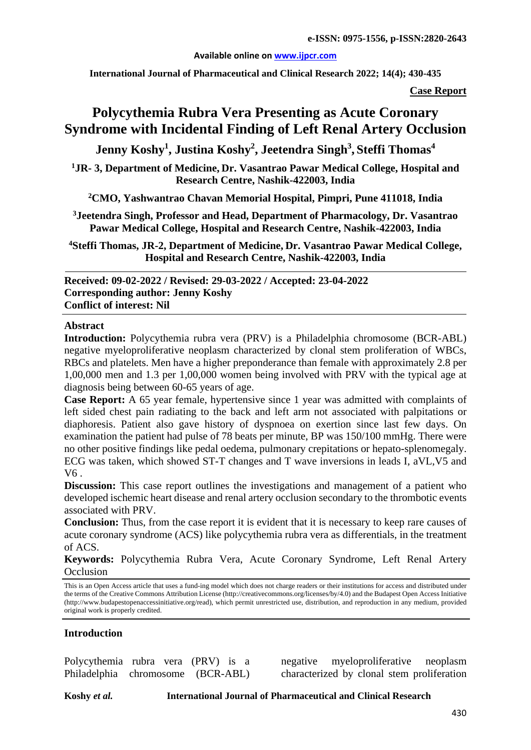#### **Available online on [www.ijpcr.com](http://www.ijpcr.com/)**

**International Journal of Pharmaceutical and Clinical Research 2022; 14(4); 430-435**

**Case Report**

# **Polycythemia Rubra Vera Presenting as Acute Coronary Syndrome with Incidental Finding of Left Renal Artery Occlusion**

**Jenny Koshy1 , Justina Koshy2 , Jeetendra Singh3 , Steffi Thomas<sup>4</sup>**

**1 JR- 3, Department of Medicine, Dr. Vasantrao Pawar Medical College, Hospital and Research Centre, Nashik-422003, India**

**2 CMO, Yashwantrao Chavan Memorial Hospital, Pimpri, Pune 411018, India**

**3 Jeetendra Singh, Professor and Head, Department of Pharmacology, Dr. Vasantrao Pawar Medical College, Hospital and Research Centre, Nashik-422003, India**

**4 Steffi Thomas, JR-2, Department of Medicine, Dr. Vasantrao Pawar Medical College, Hospital and Research Centre, Nashik-422003, India**

**Received: 09-02-2022 / Revised: 29-03-2022 / Accepted: 23-04-2022 Corresponding author: Jenny Koshy Conflict of interest: Nil**

#### **Abstract**

**Introduction:** Polycythemia rubra vera (PRV) is a Philadelphia chromosome (BCR-ABL) negative myeloproliferative neoplasm characterized by clonal stem proliferation of WBCs, RBCs and platelets. Men have a higher preponderance than female with approximately 2.8 per 1,00,000 men and 1.3 per 1,00,000 women being involved with PRV with the typical age at diagnosis being between 60-65 years of age.

**Case Report:** A 65 year female, hypertensive since 1 year was admitted with complaints of left sided chest pain radiating to the back and left arm not associated with palpitations or diaphoresis. Patient also gave history of dyspnoea on exertion since last few days. On examination the patient had pulse of 78 beats per minute, BP was 150/100 mmHg. There were no other positive findings like pedal oedema, pulmonary crepitations or hepato-splenomegaly. ECG was taken, which showed ST-T changes and T wave inversions in leads I, aVL,V5 and V6 .

**Discussion:** This case report outlines the investigations and management of a patient who developed ischemic heart disease and renal artery occlusion secondary to the thrombotic events associated with PRV.

**Conclusion:** Thus, from the case report it is evident that it is necessary to keep rare causes of acute coronary syndrome (ACS) like polycythemia rubra vera as differentials, in the treatment of ACS.

**Keywords:** Polycythemia Rubra Vera, Acute Coronary Syndrome, Left Renal Artery **Occlusion** 

This is an Open Access article that uses a fund-ing model which does not charge readers or their institutions for access and distributed under the terms of the Creative Commons Attribution License (http://creativecommons.org/licenses/by/4.0) and the Budapest Open Access Initiative (http://www.budapestopenaccessinitiative.org/read), which permit unrestricted use, distribution, and reproduction in any medium, provided original work is properly credited.

### **Introduction**

Polycythemia rubra vera (PRV) is a Philadelphia chromosome (BCR-ABL)

negative myeloproliferative neoplasm characterized by clonal stem proliferation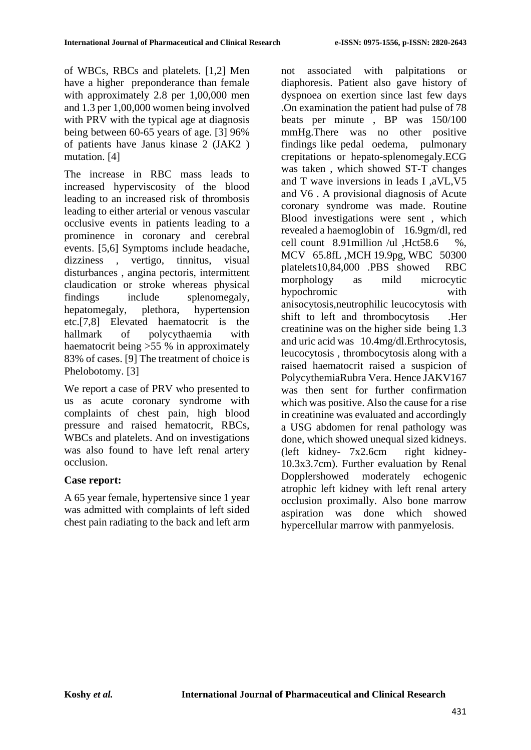of WBCs, RBCs and platelets. [1,2] Men have a higher preponderance than female with approximately 2.8 per 1,00,000 men and 1.3 per 1,00,000 women being involved with PRV with the typical age at diagnosis being between 60-65 years of age. [3] 96% of patients have Janus kinase 2 (JAK2 ) mutation. [4]

The increase in RBC mass leads to increased hyperviscosity of the blood leading to an increased risk of thrombosis leading to either arterial or venous vascular occlusive events in patients leading to a prominence in coronary and cerebral events. [5,6] Symptoms include headache, dizziness , vertigo, tinnitus, visual disturbances , angina pectoris, intermittent claudication or stroke whereas physical findings include splenomegaly, hepatomegaly, plethora, hypertension etc.[7,8] Elevated haematocrit is the hallmark of polycythaemia with haematocrit being >55 % in approximately 83% of cases. [9] The treatment of choice is Phelobotomy. [3]

We report a case of PRV who presented to us as acute coronary syndrome with complaints of chest pain, high blood pressure and raised hematocrit, RBCs, WBCs and platelets. And on investigations was also found to have left renal artery occlusion.

## **Case report:**

A 65 year female, hypertensive since 1 year was admitted with complaints of left sided chest pain radiating to the back and left arm not associated with palpitations or diaphoresis. Patient also gave history of dyspnoea on exertion since last few days .On examination the patient had pulse of 78 beats per minute , BP was 150/100 mmHg.There was no other positive findings like pedal oedema, pulmonary crepitations or hepato-splenomegaly.ECG was taken , which showed ST-T changes and T wave inversions in leads I ,aVL,V5 and V6 . A provisional diagnosis of Acute coronary syndrome was made. Routine Blood investigations were sent , which revealed a haemoglobin of 16.9gm/dl, red cell count 8.91million /ul ,Hct58.6 %, MCV 65.8fL ,MCH 19.9pg, WBC 50300 platelets10,84,000 .PBS showed RBC morphology as mild microcytic hypochromic with anisocytosis,neutrophilic leucocytosis with shift to left and thrombocytosis .Her creatinine was on the higher side being 1.3 and uric acid was 10.4mg/dl.Erthrocytosis, leucocytosis , thrombocytosis along with a raised haematocrit raised a suspicion of PolycythemiaRubra Vera. Hence JAKV167 was then sent for further confirmation which was positive. Also the cause for a rise in creatinine was evaluated and accordingly a USG abdomen for renal pathology was done, which showed unequal sized kidneys. (left kidney- 7x2.6cm right kidney-10.3x3.7cm). Further evaluation by Renal Dopplershowed moderately echogenic atrophic left kidney with left renal artery occlusion proximally. Also bone marrow aspiration was done which showed hypercellular marrow with panmyelosis.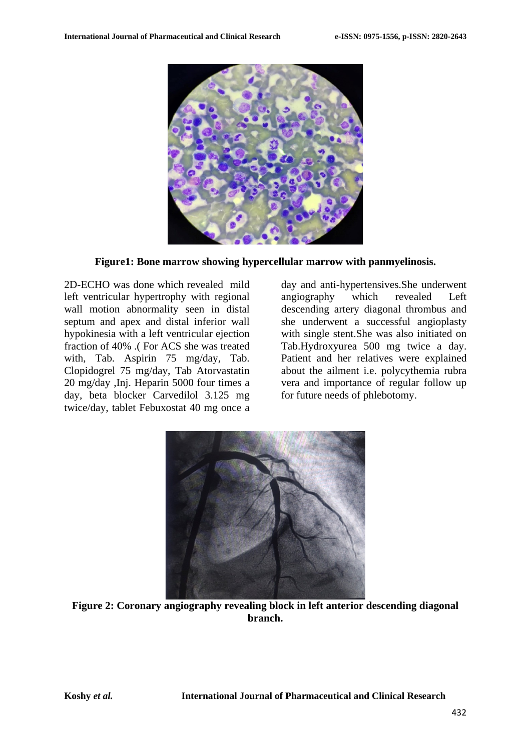

**Figure1: Bone marrow showing hypercellular marrow with panmyelinosis.**

2D-ECHO was done which revealed mild left ventricular hypertrophy with regional wall motion abnormality seen in distal septum and apex and distal inferior wall hypokinesia with a left ventricular ejection fraction of 40% .( For ACS she was treated with, Tab. Aspirin 75 mg/day, Tab. Clopidogrel 75 mg/day, Tab Atorvastatin 20 mg/day ,Inj. Heparin 5000 four times a day, beta blocker Carvedilol 3.125 mg twice/day, tablet Febuxostat 40 mg once a

day and anti-hypertensives.She underwent angiography which revealed Left descending artery diagonal thrombus and she underwent a successful angioplasty with single stent.She was also initiated on Tab.Hydroxyurea 500 mg twice a day. Patient and her relatives were explained about the ailment i.e. polycythemia rubra vera and importance of regular follow up for future needs of phlebotomy.



**Figure 2: Coronary angiography revealing block in left anterior descending diagonal branch.**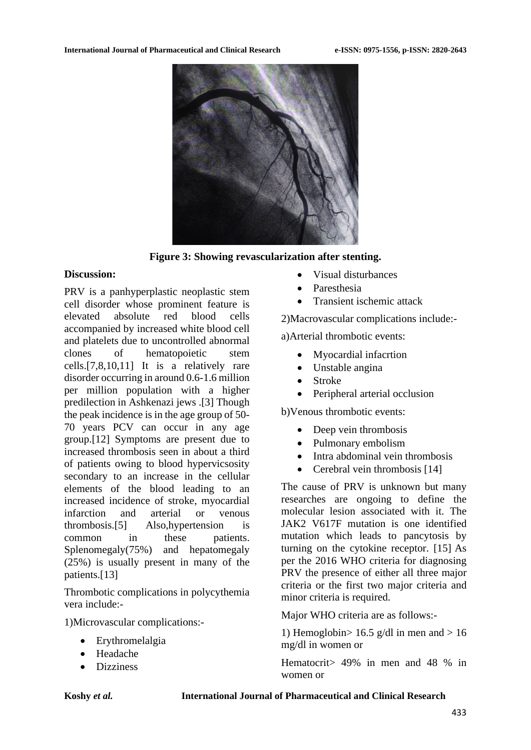

**Figure 3: Showing revascularization after stenting.**

### **Discussion:**

PRV is a panhyperplastic neoplastic stem cell disorder whose prominent feature is elevated absolute red blood cells accompanied by increased white blood cell and platelets due to uncontrolled abnormal clones of hematopoietic stem cells.[7,8,10,11] It is a relatively rare disorder occurring in around 0.6-1.6 million per million population with a higher predilection in Ashkenazi jews .[3] Though the peak incidence is in the age group of 50- 70 years PCV can occur in any age group.[12] Symptoms are present due to increased thrombosis seen in about a third of patients owing to blood hypervicsosity secondary to an increase in the cellular elements of the blood leading to an increased incidence of stroke, myocardial infarction and arterial or venous thrombosis.[5] Also,hypertension is common in these patients. Splenomegaly(75%) and hepatomegaly (25%) is usually present in many of the patients.[13]

Thrombotic complications in polycythemia vera include:-

1)Microvascular complications:-

- Erythromelalgia
- Headache
- Dizziness
- Visual disturbances
- **Paresthesia**
- Transient ischemic attack

2)Macrovascular complications include:-

a)Arterial thrombotic events:

- Myocardial infacrtion
- Unstable angina
- Stroke
- Peripheral arterial occlusion

b)Venous thrombotic events:

- Deep vein thrombosis
- Pulmonary embolism
- Intra abdominal vein thrombosis
- Cerebral vein thrombosis [14]

The cause of PRV is unknown but many researches are ongoing to define the molecular lesion associated with it. The JAK2 V617F mutation is one identified mutation which leads to pancytosis by turning on the cytokine receptor. [15] As per the 2016 WHO criteria for diagnosing PRV the presence of either all three major criteria or the first two major criteria and minor criteria is required.

Major WHO criteria are as follows:-

1) Hemoglobin>  $16.5$  g/dl in men and > 16 mg/dl in women or

Hematocrit> 49% in men and 48 % in women or

**Koshy** *et al.* **International Journal of Pharmaceutical and Clinical Research**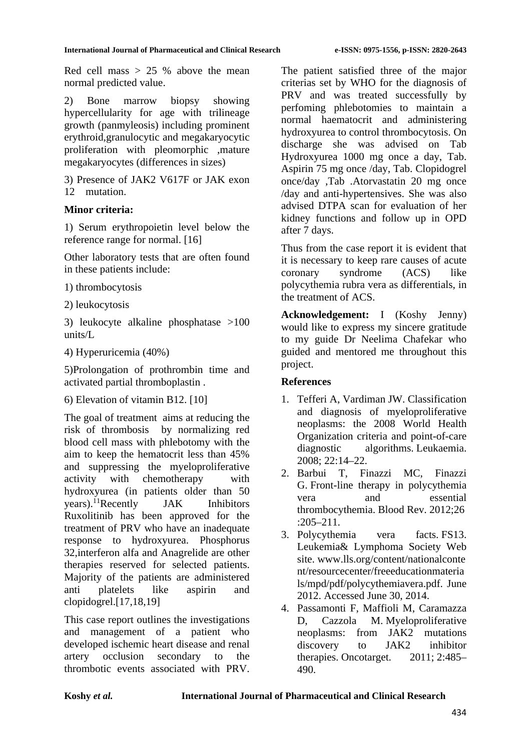Red cell mass  $> 25$  % above the mean normal predicted value.

2) Bone marrow biopsy showing hypercellularity for age with trilineage growth (panmyleosis) including prominent erythroid,granulocytic and megakaryocytic proliferation with pleomorphic ,mature megakaryocytes (differences in sizes)

3) Presence of JAK2 V617F or JAK exon 12 mutation.

## **Minor criteria:**

1) Serum erythropoietin level below the reference range for normal. [16]

Other laboratory tests that are often found in these patients include:

1) thrombocytosis

2) leukocytosis

3) leukocyte alkaline phosphatase >100 units/L

4) Hyperuricemia (40%)

5)Prolongation of prothrombin time and activated partial thromboplastin .

6) Elevation of vitamin B12. [10]

The goal of treatment aims at reducing the risk of thrombosis by normalizing red blood cell mass with phlebotomy with the aim to keep the hematocrit less than 45% and suppressing the myeloproliferative activity with chemotherapy with hydroxyurea (in patients older than 50 years).11Recently JAK Inhibitors Ruxolitinib has been approved for the treatment of PRV who have an inadequate response to hydroxyurea. Phosphorus 32,interferon alfa and Anagrelide are other therapies reserved for selected patients. Majority of the patients are administered anti platelets like aspirin and clopidogrel.[17,18,19]

This case report outlines the investigations and management of a patient who developed ischemic heart disease and renal artery occlusion secondary to the thrombotic events associated with PRV.

The patient satisfied three of the major criterias set by WHO for the diagnosis of PRV and was treated successfully by perfoming phlebotomies to maintain a normal haematocrit and administering hydroxyurea to control thrombocytosis. On discharge she was advised on Tab Hydroxyurea 1000 mg once a day, Tab. Aspirin 75 mg once /day, Tab. Clopidogrel once/day ,Tab .Atorvastatin 20 mg once /day and anti-hypertensives. She was also advised DTPA scan for evaluation of her kidney functions and follow up in OPD after 7 days.

Thus from the case report it is evident that it is necessary to keep rare causes of acute coronary syndrome (ACS) like polycythemia rubra vera as differentials, in the treatment of ACS.

**Acknowledgement:** I (Koshy Jenny) would like to express my sincere gratitude to my guide Dr Neelima Chafekar who guided and mentored me throughout this project.

## **References**

- 1. Tefferi A, Vardiman JW. Classification and diagnosis of myeloproliferative neoplasms: the 2008 World Health Organization criteria and point-of-care diagnostic algorithms. Leukaemia. 2008; 22:14–22.
- 2. Barbui T, Finazzi MC, Finazzi G. Front-line therapy in polycythemia vera and essential thrombocythemia. Blood Rev. 2012;26 :205–211.
- 3. Polycythemia vera facts. FS13. Leukemia& Lymphoma Society Web site. www.lls.org/content/nationalconte nt/resourcecenter/freeeducationmateria ls/mpd/pdf/polycythemiavera.pdf. June 2012. Accessed June 30, 2014.
- 4. Passamonti F, Maffioli M, Caramazza D, Cazzola M. Myeloproliferative neoplasms: from JAK2 mutations discovery to JAK2 inhibitor therapies. Oncotarget. 2011; 2:485– 490.